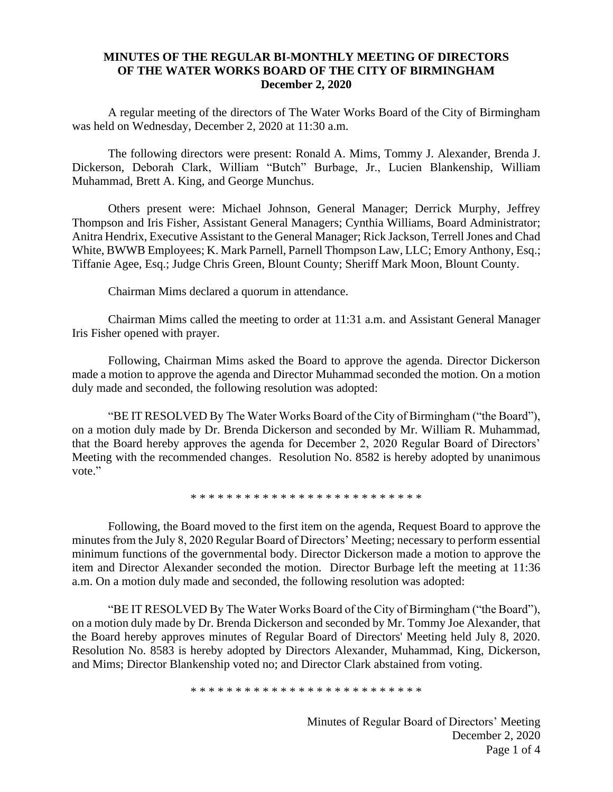## **MINUTES OF THE REGULAR BI-MONTHLY MEETING OF DIRECTORS OF THE WATER WORKS BOARD OF THE CITY OF BIRMINGHAM December 2, 2020**

A regular meeting of the directors of The Water Works Board of the City of Birmingham was held on Wednesday, December 2, 2020 at 11:30 a.m.

The following directors were present: Ronald A. Mims, Tommy J. Alexander, Brenda J. Dickerson, Deborah Clark, William "Butch" Burbage, Jr., Lucien Blankenship, William Muhammad, Brett A. King, and George Munchus.

Others present were: Michael Johnson, General Manager; Derrick Murphy, Jeffrey Thompson and Iris Fisher, Assistant General Managers; Cynthia Williams, Board Administrator; Anitra Hendrix, Executive Assistant to the General Manager; Rick Jackson, Terrell Jones and Chad White, BWWB Employees; K. Mark Parnell, Parnell Thompson Law, LLC; Emory Anthony, Esq.; Tiffanie Agee, Esq.; Judge Chris Green, Blount County; Sheriff Mark Moon, Blount County.

Chairman Mims declared a quorum in attendance.

Chairman Mims called the meeting to order at 11:31 a.m. and Assistant General Manager Iris Fisher opened with prayer.

Following, Chairman Mims asked the Board to approve the agenda. Director Dickerson made a motion to approve the agenda and Director Muhammad seconded the motion. On a motion duly made and seconded, the following resolution was adopted:

"BE IT RESOLVED By The Water Works Board of the City of Birmingham ("the Board"), on a motion duly made by Dr. Brenda Dickerson and seconded by Mr. William R. Muhammad, that the Board hereby approves the agenda for December 2, 2020 Regular Board of Directors' Meeting with the recommended changes. Resolution No. 8582 is hereby adopted by unanimous vote."

\* \* \* \* \* \* \* \* \* \* \* \* \* \* \* \* \* \* \* \* \* \* \* \* \* \*

Following, the Board moved to the first item on the agenda, Request Board to approve the minutes from the July 8, 2020 Regular Board of Directors' Meeting; necessary to perform essential minimum functions of the governmental body. Director Dickerson made a motion to approve the item and Director Alexander seconded the motion. Director Burbage left the meeting at 11:36 a.m. On a motion duly made and seconded, the following resolution was adopted:

"BE IT RESOLVED By The Water Works Board of the City of Birmingham ("the Board"), on a motion duly made by Dr. Brenda Dickerson and seconded by Mr. Tommy Joe Alexander, that the Board hereby approves minutes of Regular Board of Directors' Meeting held July 8, 2020. Resolution No. 8583 is hereby adopted by Directors Alexander, Muhammad, King, Dickerson, and Mims; Director Blankenship voted no; and Director Clark abstained from voting.

\* \* \* \* \* \* \* \* \* \* \* \* \* \* \* \* \* \* \* \* \* \* \* \* \* \*

Minutes of Regular Board of Directors' Meeting December 2, 2020 Page 1 of 4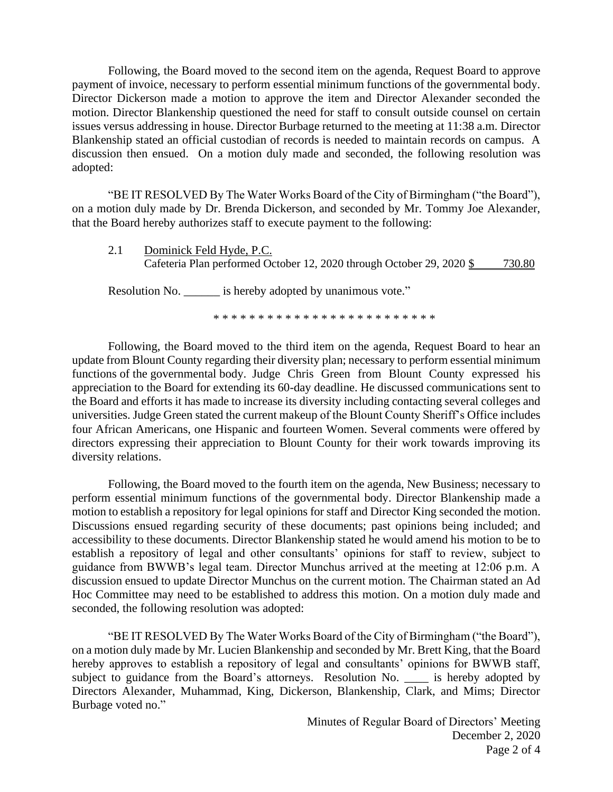Following, the Board moved to the second item on the agenda, Request Board to approve payment of invoice, necessary to perform essential minimum functions of the governmental body. Director Dickerson made a motion to approve the item and Director Alexander seconded the motion. Director Blankenship questioned the need for staff to consult outside counsel on certain issues versus addressing in house. Director Burbage returned to the meeting at 11:38 a.m. Director Blankenship stated an official custodian of records is needed to maintain records on campus. A discussion then ensued. On a motion duly made and seconded, the following resolution was adopted:

"BE IT RESOLVED By The Water Works Board of the City of Birmingham ("the Board"), on a motion duly made by Dr. Brenda Dickerson, and seconded by Mr. Tommy Joe Alexander, that the Board hereby authorizes staff to execute payment to the following:

2.1 Dominick Feld Hyde, P.C. Cafeteria Plan performed October 12, 2020 through October 29, 2020 \$ 730.80

Resolution No. \_\_\_\_\_\_ is hereby adopted by unanimous vote."

\* \* \* \* \* \* \* \* \* \* \* \* \* \* \* \* \* \* \* \* \* \* \* \* \*

Following, the Board moved to the third item on the agenda, Request Board to hear an update from Blount County regarding their diversity plan; necessary to perform essential minimum functions of the governmental body. Judge Chris Green from Blount County expressed his appreciation to the Board for extending its 60-day deadline. He discussed communications sent to the Board and efforts it has made to increase its diversity including contacting several colleges and universities. Judge Green stated the current makeup of the Blount County Sheriff's Office includes four African Americans, one Hispanic and fourteen Women. Several comments were offered by directors expressing their appreciation to Blount County for their work towards improving its diversity relations.

Following, the Board moved to the fourth item on the agenda, New Business; necessary to perform essential minimum functions of the governmental body. Director Blankenship made a motion to establish a repository for legal opinions for staff and Director King seconded the motion. Discussions ensued regarding security of these documents; past opinions being included; and accessibility to these documents. Director Blankenship stated he would amend his motion to be to establish a repository of legal and other consultants' opinions for staff to review, subject to guidance from BWWB's legal team. Director Munchus arrived at the meeting at 12:06 p.m. A discussion ensued to update Director Munchus on the current motion. The Chairman stated an Ad Hoc Committee may need to be established to address this motion. On a motion duly made and seconded, the following resolution was adopted:

"BE IT RESOLVED By The Water Works Board of the City of Birmingham ("the Board"), on a motion duly made by Mr. Lucien Blankenship and seconded by Mr. Brett King, that the Board hereby approves to establish a repository of legal and consultants' opinions for BWWB staff, subject to guidance from the Board's attorneys. Resolution No. \_\_\_\_ is hereby adopted by Directors Alexander, Muhammad, King, Dickerson, Blankenship, Clark, and Mims; Director Burbage voted no."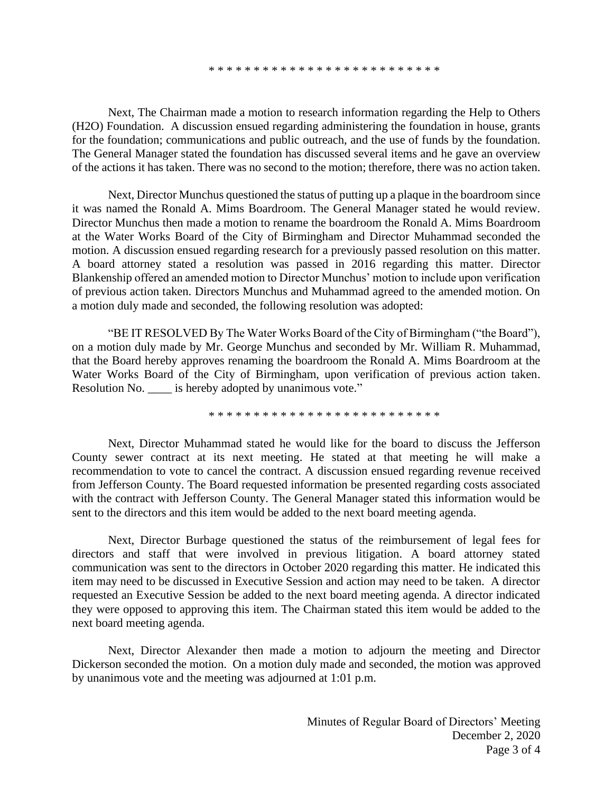\* \* \* \* \* \* \* \* \* \* \* \* \* \* \* \* \* \* \* \* \* \* \* \* \* \*

Next, The Chairman made a motion to research information regarding the Help to Others (H2O) Foundation. A discussion ensued regarding administering the foundation in house, grants for the foundation; communications and public outreach, and the use of funds by the foundation. The General Manager stated the foundation has discussed several items and he gave an overview of the actions it has taken. There was no second to the motion; therefore, there was no action taken.

Next, Director Munchus questioned the status of putting up a plaque in the boardroom since it was named the Ronald A. Mims Boardroom. The General Manager stated he would review. Director Munchus then made a motion to rename the boardroom the Ronald A. Mims Boardroom at the Water Works Board of the City of Birmingham and Director Muhammad seconded the motion. A discussion ensued regarding research for a previously passed resolution on this matter. A board attorney stated a resolution was passed in 2016 regarding this matter. Director Blankenship offered an amended motion to Director Munchus' motion to include upon verification of previous action taken. Directors Munchus and Muhammad agreed to the amended motion. On a motion duly made and seconded, the following resolution was adopted:

"BE IT RESOLVED By The Water Works Board of the City of Birmingham ("the Board"), on a motion duly made by Mr. George Munchus and seconded by Mr. William R. Muhammad, that the Board hereby approves renaming the boardroom the Ronald A. Mims Boardroom at the Water Works Board of the City of Birmingham, upon verification of previous action taken. Resolution No. \_\_\_\_ is hereby adopted by unanimous vote."

\* \* \* \* \* \* \* \* \* \* \* \* \* \* \* \* \* \* \* \* \* \* \* \* \* \*

Next, Director Muhammad stated he would like for the board to discuss the Jefferson County sewer contract at its next meeting. He stated at that meeting he will make a recommendation to vote to cancel the contract. A discussion ensued regarding revenue received from Jefferson County. The Board requested information be presented regarding costs associated with the contract with Jefferson County. The General Manager stated this information would be sent to the directors and this item would be added to the next board meeting agenda.

Next, Director Burbage questioned the status of the reimbursement of legal fees for directors and staff that were involved in previous litigation. A board attorney stated communication was sent to the directors in October 2020 regarding this matter. He indicated this item may need to be discussed in Executive Session and action may need to be taken. A director requested an Executive Session be added to the next board meeting agenda. A director indicated they were opposed to approving this item. The Chairman stated this item would be added to the next board meeting agenda.

Next, Director Alexander then made a motion to adjourn the meeting and Director Dickerson seconded the motion. On a motion duly made and seconded, the motion was approved by unanimous vote and the meeting was adjourned at 1:01 p.m.